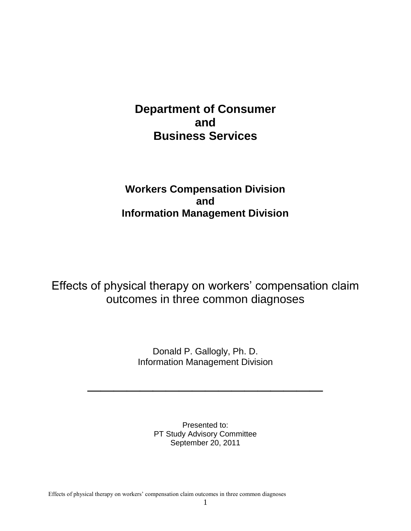# **Department of Consumer and Business Services**

## **Workers Compensation Division and Information Management Division**

Effects of physical therapy on workers' compensation claim outcomes in three common diagnoses

> Donald P. Gallogly, Ph. D. Information Management Division

**\_\_\_\_\_\_\_\_\_\_\_\_\_\_\_\_\_\_**

Presented to: PT Study Advisory Committee September 20, 2011

Effects of physical therapy on workers' compensation claim outcomes in three common diagnoses

1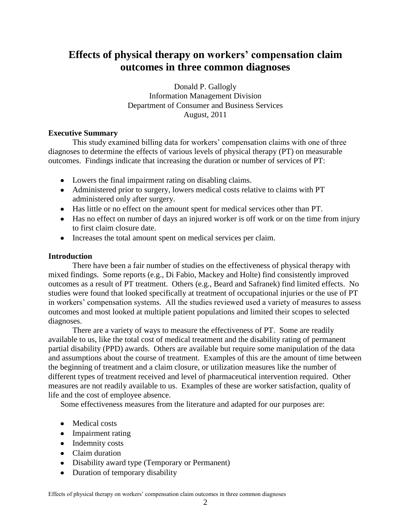## **Effects of physical therapy on workers' compensation claim outcomes in three common diagnoses**

Donald P. Gallogly Information Management Division Department of Consumer and Business Services August, 2011

### **Executive Summary**

This study examined billing data for workers' compensation claims with one of three diagnoses to determine the effects of various levels of physical therapy (PT) on measurable outcomes. Findings indicate that increasing the duration or number of services of PT:

- Lowers the final impairment rating on disabling claims.
- Administered prior to surgery, lowers medical costs relative to claims with PT administered only after surgery.
- Has little or no effect on the amount spent for medical services other than PT.
- Has no effect on number of days an injured worker is off work or on the time from injury to first claim closure date.
- Increases the total amount spent on medical services per claim.

## **Introduction**

There have been a fair number of studies on the effectiveness of physical therapy with mixed findings. Some reports (e.g., Di Fabio, Mackey and Holte) find consistently improved outcomes as a result of PT treatment. Others (e.g., Beard and Safranek) find limited effects. No studies were found that looked specifically at treatment of occupational injuries or the use of PT in workers' compensation systems. All the studies reviewed used a variety of measures to assess outcomes and most looked at multiple patient populations and limited their scopes to selected diagnoses.

There are a variety of ways to measure the effectiveness of PT. Some are readily available to us, like the total cost of medical treatment and the disability rating of permanent partial disability (PPD) awards. Others are available but require some manipulation of the data and assumptions about the course of treatment. Examples of this are the amount of time between the beginning of treatment and a claim closure, or utilization measures like the number of different types of treatment received and level of pharmaceutical intervention required. Other measures are not readily available to us. Examples of these are worker satisfaction, quality of life and the cost of employee absence.

Some effectiveness measures from the literature and adapted for our purposes are:

- Medical costs
- Impairment rating
- Indemnity costs
- Claim duration
- Disability award type (Temporary or Permanent)
- Duration of temporary disability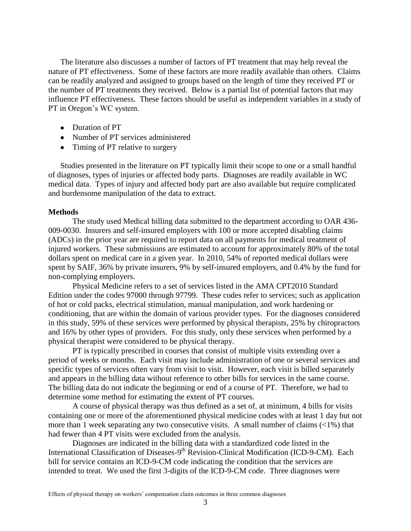The literature also discusses a number of factors of PT treatment that may help reveal the nature of PT effectiveness. Some of these factors are more readily available than others. Claims can be readily analyzed and assigned to groups based on the length of time they received PT or the number of PT treatments they received. Below is a partial list of potential factors that may influence PT effectiveness. These factors should be useful as independent variables in a study of PT in Oregon's WC system.

- Duration of PT
- Number of PT services administered
- Timing of PT relative to surgery

Studies presented in the literature on PT typically limit their scope to one or a small handful of diagnoses, types of injuries or affected body parts. Diagnoses are readily available in WC medical data. Types of injury and affected body part are also available but require complicated and burdensome manipulation of the data to extract.

#### **Methods**

The study used Medical billing data submitted to the department according to OAR 436- 009-0030. Insurers and self-insured employers with 100 or more accepted disabling claims (ADCs) in the prior year are required to report data on all payments for medical treatment of injured workers. These submissions are estimated to account for approximately 80% of the total dollars spent on medical care in a given year. In 2010, 54% of reported medical dollars were spent by SAIF, 36% by private insurers, 9% by self-insured employers, and 0.4% by the fund for non-complying employers.

Physical Medicine refers to a set of services listed in the AMA CPT2010 Standard Edition under the codes 97000 through 97799. These codes refer to services; such as application of hot or cold packs, electrical stimulation, manual manipulation, and work hardening or conditioning, that are within the domain of various provider types. For the diagnoses considered in this study, 59% of these services were performed by physical therapists, 25% by chiropractors and 16% by other types of providers. For this study, only these services when performed by a physical therapist were considered to be physical therapy.

PT is typically prescribed in courses that consist of multiple visits extending over a period of weeks or months. Each visit may include administration of one or several services and specific types of services often vary from visit to visit. However, each visit is billed separately and appears in the billing data without reference to other bills for services in the same course. The billing data do not indicate the beginning or end of a course of PT. Therefore, we had to determine some method for estimating the extent of PT courses.

A course of physical therapy was thus defined as a set of, at minimum, 4 bills for visits containing one or more of the aforementioned physical medicine codes with at least 1 day but not more than 1 week separating any two consecutive visits. A small number of claims  $\left($ <1%) that had fewer than 4 PT visits were excluded from the analysis.

Diagnoses are indicated in the billing data with a standardized code listed in the International Classification of Diseases-9<sup>th</sup> Revision-Clinical Modification (ICD-9-CM). Each bill for service contains an ICD-9-CM code indicating the condition that the services are intended to treat. We used the first 3-digits of the ICD-9-CM code. Three diagnoses were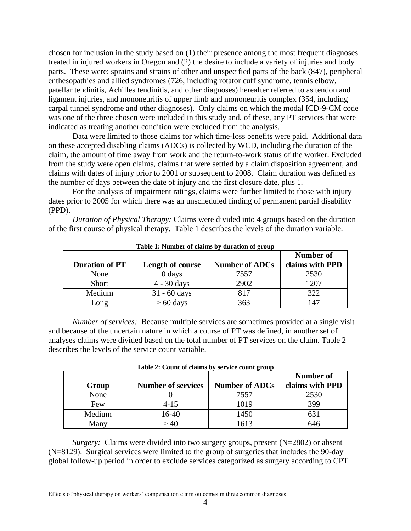chosen for inclusion in the study based on (1) their presence among the most frequent diagnoses treated in injured workers in Oregon and (2) the desire to include a variety of injuries and body parts. These were: sprains and strains of other and unspecified parts of the back (847), peripheral enthesopathies and allied syndromes (726, including rotator cuff syndrome, tennis elbow, patellar tendinitis, Achilles tendinitis, and other diagnoses) hereafter referred to as tendon and ligament injuries, and mononeuritis of upper limb and mononeuritis complex (354, including carpal tunnel syndrome and other diagnoses). Only claims on which the modal ICD-9-CM code was one of the three chosen were included in this study and, of these, any PT services that were indicated as treating another condition were excluded from the analysis.

Data were limited to those claims for which time-loss benefits were paid. Additional data on these accepted disabling claims (ADCs) is collected by WCD, including the duration of the claim, the amount of time away from work and the return-to-work status of the worker. Excluded from the study were open claims, claims that were settled by a claim disposition agreement, and claims with dates of injury prior to 2001 or subsequent to 2008. Claim duration was defined as the number of days between the date of injury and the first closure date, plus 1.

For the analysis of impairment ratings, claims were further limited to those with injury dates prior to 2005 for which there was an unscheduled finding of permanent partial disability (PPD).

*Duration of Physical Therapy:* Claims were divided into 4 groups based on the duration of the first course of physical therapy. Table 1 describes the levels of the duration variable.

|                       |                         |                       | Number of       |
|-----------------------|-------------------------|-----------------------|-----------------|
| <b>Duration of PT</b> | <b>Length of course</b> | <b>Number of ADCs</b> | claims with PPD |
| None                  | 0 days                  | 7557                  | 2530            |
| Short                 | $4 - 30$ days           | 2902                  | 1207            |
| Medium                | $31 - 60$ days          | 817                   | 322             |
| Long                  | $> 60$ days             | 363                   | 147             |

**Table 1: Number of claims by duration of group**

*Number of services:* Because multiple services are sometimes provided at a single visit and because of the uncertain nature in which a course of PT was defined, in another set of analyses claims were divided based on the total number of PT services on the claim. Table 2 describes the levels of the service count variable.

|        |                           |                       | Number of       |
|--------|---------------------------|-----------------------|-----------------|
| Group  | <b>Number of services</b> | <b>Number of ADCs</b> | claims with PPD |
| None   |                           | 7557                  | 2530            |
| Few    | 4-15                      | 1019                  | 399             |
| Medium | $16 - 40$                 | 1450                  |                 |
| Many   | $-40$                     | 1613                  | 646             |

**Table 2: Count of claims by service count group**

*Surgery:* Claims were divided into two surgery groups, present (N=2802) or absent (N=8129). Surgical services were limited to the group of surgeries that includes the 90-day global follow-up period in order to exclude services categorized as surgery according to CPT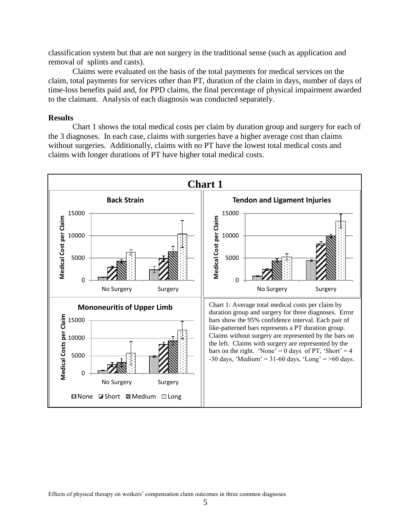classification system but that are not surgery in the traditional sense (such as application and removal of splints and casts).

Claims were evaluated on the basis of the total payments for medical services on the claim, total payments for services other than PT, duration of the claim in days, number of days of time-loss benefits paid and, for PPD claims, the final percentage of physical impairment awarded to the claimant. Analysis of each diagnosis was conducted separately.

#### **Results**

Chart 1 shows the total medical costs per claim by duration group and surgery for each of the 3 diagnoses. In each case, claims with surgeries have a higher average cost than claims without surgeries. Additionally, claims with no PT have the lowest total medical costs and claims with longer durations of PT have higher total medical costs.

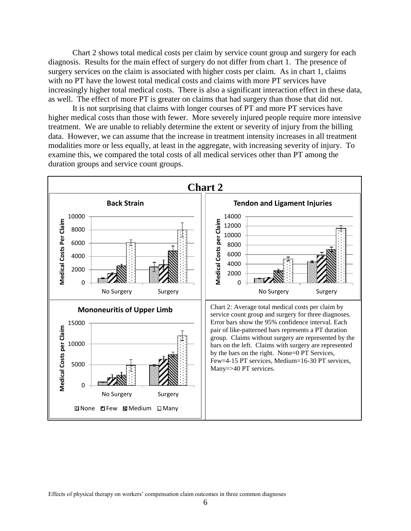Chart 2 shows total medical costs per claim by service count group and surgery for each diagnosis. Results for the main effect of surgery do not differ from chart 1. The presence of surgery services on the claim is associated with higher costs per claim. As in chart 1, claims with no PT have the lowest total medical costs and claims with more PT services have increasingly higher total medical costs. There is also a significant interaction effect in these data, as well. The effect of more PT is greater on claims that had surgery than those that did not.

It is not surprising that claims with longer courses of PT and more PT services have higher medical costs than those with fewer. More severely injured people require more intensive treatment. We are unable to reliably determine the extent or severity of injury from the billing data. However, we can assume that the increase in treatment intensity increases in all treatment modalities more or less equally, at least in the aggregate, with increasing severity of injury. To examine this, we compared the total costs of all medical services other than PT among the duration groups and service count groups.

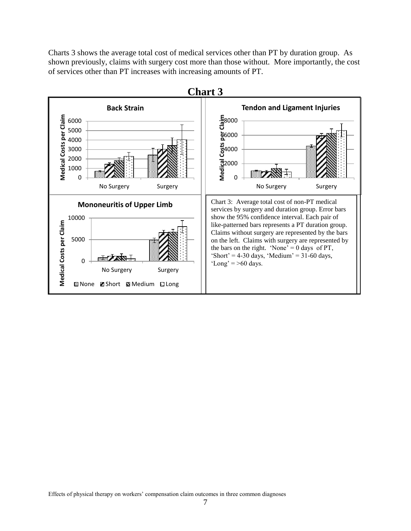Charts 3 shows the average total cost of medical services other than PT by duration group. As shown previously, claims with surgery cost more than those without. More importantly, the cost of services other than PT increases with increasing amounts of PT.

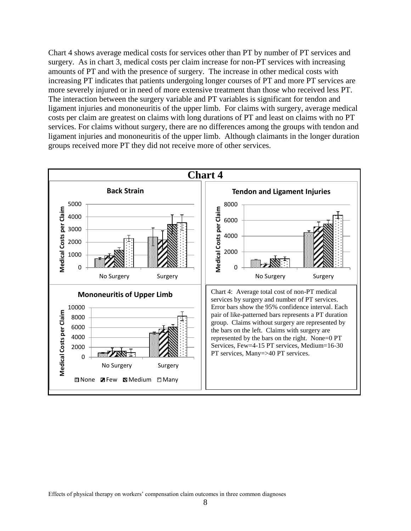Chart 4 shows average medical costs for services other than PT by number of PT services and surgery. As in chart 3, medical costs per claim increase for non-PT services with increasing amounts of PT and with the presence of surgery. The increase in other medical costs with increasing PT indicates that patients undergoing longer courses of PT and more PT services are more severely injured or in need of more extensive treatment than those who received less PT. The interaction between the surgery variable and PT variables is significant for tendon and ligament injuries and mononeuritis of the upper limb. For claims with surgery, average medical costs per claim are greatest on claims with long durations of PT and least on claims with no PT services. For claims without surgery, there are no differences among the groups with tendon and ligament injuries and mononeuritis of the upper limb. Although claimants in the longer duration groups received more PT they did not receive more of other services.

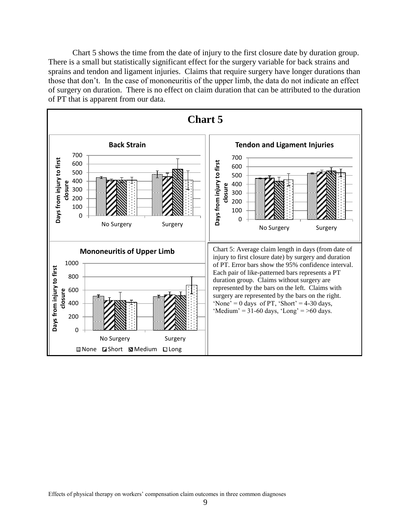Chart 5 shows the time from the date of injury to the first closure date by duration group. There is a small but statistically significant effect for the surgery variable for back strains and sprains and tendon and ligament injuries. Claims that require surgery have longer durations than those that don't. In the case of mononeuritis of the upper limb, the data do not indicate an effect of surgery on duration. There is no effect on claim duration that can be attributed to the duration of PT that is apparent from our data.

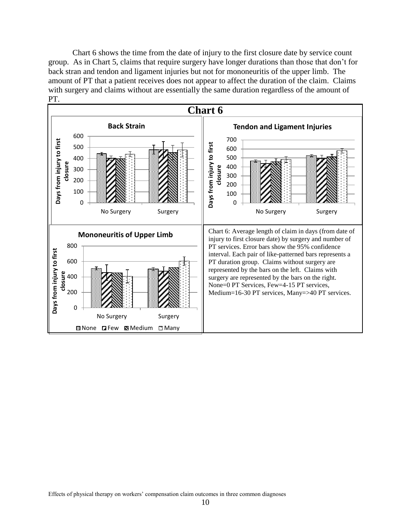Chart 6 shows the time from the date of injury to the first closure date by service count group. As in Chart 5, claims that require surgery have longer durations than those that don't for back stran and tendon and ligament injuries but not for mononeuritis of the upper limb. The amount of PT that a patient receives does not appear to affect the duration of the claim. Claims with surgery and claims without are essentially the same duration regardless of the amount of PT.

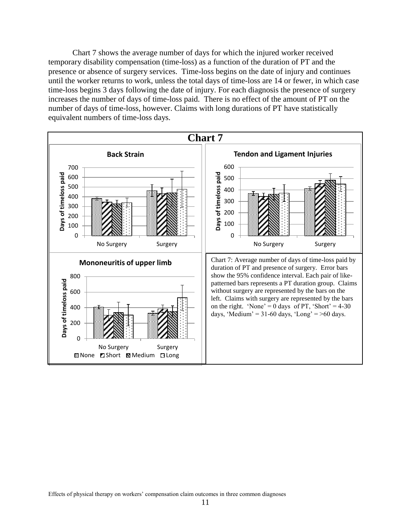Chart 7 shows the average number of days for which the injured worker received temporary disability compensation (time-loss) as a function of the duration of PT and the presence or absence of surgery services. Time-loss begins on the date of injury and continues until the worker returns to work, unless the total days of time-loss are 14 or fewer, in which case time-loss begins 3 days following the date of injury. For each diagnosis the presence of surgery increases the number of days of time-loss paid. There is no effect of the amount of PT on the number of days of time-loss, however. Claims with long durations of PT have statistically equivalent numbers of time-loss days.

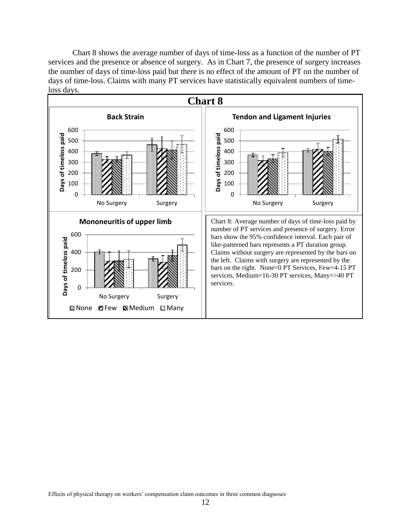Chart 8 shows the average number of days of time-loss as a function of the number of PT services and the presence or absence of surgery. As in Chart 7, the presence of surgery increases the number of days of time-loss paid but there is no effect of the amount of PT on the number of days of time-loss. Claims with many PT services have statistically equivalent numbers of timeloss days.

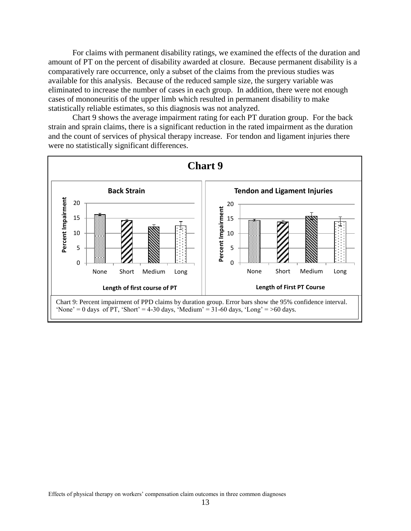For claims with permanent disability ratings, we examined the effects of the duration and amount of PT on the percent of disability awarded at closure. Because permanent disability is a comparatively rare occurrence, only a subset of the claims from the previous studies was available for this analysis. Because of the reduced sample size, the surgery variable was eliminated to increase the number of cases in each group. In addition, there were not enough cases of mononeuritis of the upper limb which resulted in permanent disability to make statistically reliable estimates, so this diagnosis was not analyzed.

Chart 9 shows the average impairment rating for each PT duration group. For the back strain and sprain claims, there is a significant reduction in the rated impairment as the duration and the count of services of physical therapy increase. For tendon and ligament injuries there were no statistically significant differences.

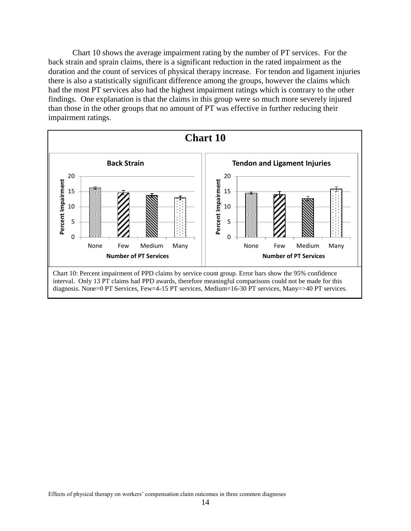Chart 10 shows the average impairment rating by the number of PT services. For the back strain and sprain claims, there is a significant reduction in the rated impairment as the duration and the count of services of physical therapy increase. For tendon and ligament injuries there is also a statistically significant difference among the groups, however the claims which had the most PT services also had the highest impairment ratings which is contrary to the other findings. One explanation is that the claims in this group were so much more severely injured than those in the other groups that no amount of PT was effective in further reducing their impairment ratings.

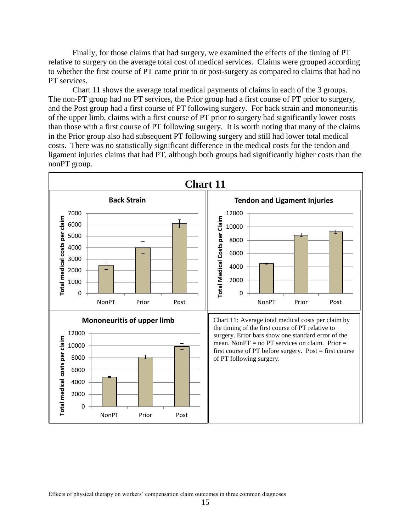Finally, for those claims that had surgery, we examined the effects of the timing of PT relative to surgery on the average total cost of medical services. Claims were grouped according to whether the first course of PT came prior to or post-surgery as compared to claims that had no PT services.

Chart 11 shows the average total medical payments of claims in each of the 3 groups. The non-PT group had no PT services, the Prior group had a first course of PT prior to surgery, and the Post group had a first course of PT following surgery. For back strain and mononeuritis of the upper limb, claims with a first course of PT prior to surgery had significantly lower costs than those with a first course of PT following surgery. It is worth noting that many of the claims in the Prior group also had subsequent PT following surgery and still had lower total medical costs. There was no statistically significant difference in the medical costs for the tendon and ligament injuries claims that had PT, although both groups had significantly higher costs than the nonPT group.

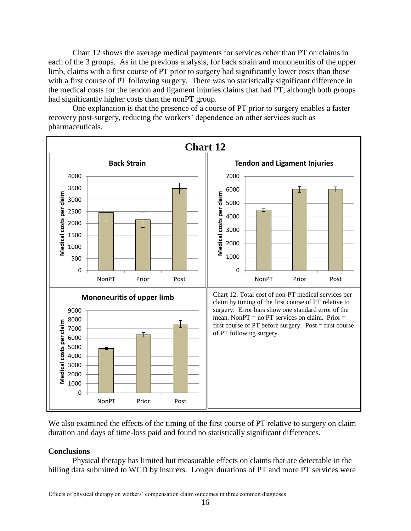Chart 12 shows the average medical payments for services other than PT on claims in each of the 3 groups. As in the previous analysis, for back strain and mononeuritis of the upper limb, claims with a first course of PT prior to surgery had significantly lower costs than those with a first course of PT following surgery. There was no statistically significant difference in the medical costs for the tendon and ligament injuries claims that had PT, although both groups had significantly higher costs than the nonPT group.

One explanation is that the presence of a course of PT prior to surgery enables a faster recovery post-surgery, reducing the workers' dependence on other services such as pharmaceuticals.



We also examined the effects of the timing of the first course of PT relative to surgery on claim duration and days of time-loss paid and found no statistically significant differences.

### **Conclusions**

Physical therapy has limited but measurable effects on claims that are detectable in the billing data submitted to WCD by insurers. Longer durations of PT and more PT services were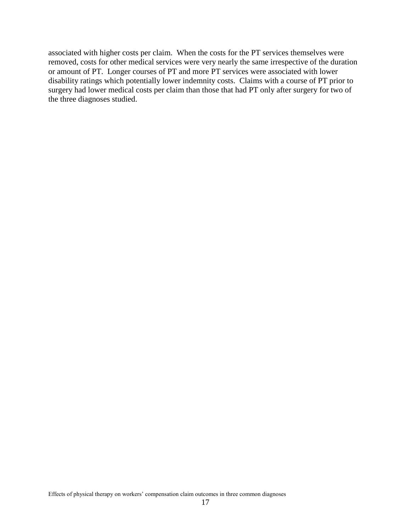associated with higher costs per claim. When the costs for the PT services themselves were removed, costs for other medical services were very nearly the same irrespective of the duration or amount of PT. Longer courses of PT and more PT services were associated with lower disability ratings which potentially lower indemnity costs. Claims with a course of PT prior to surgery had lower medical costs per claim than those that had PT only after surgery for two of the three diagnoses studied.